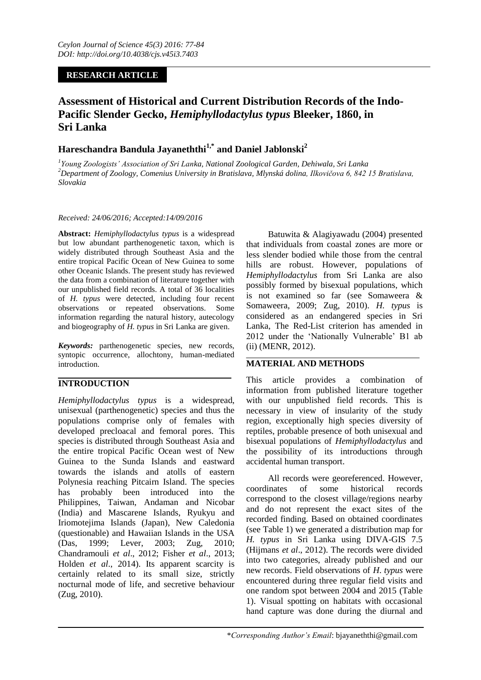# **RESEARCH ARTICLE**

# **Assessment of Historical and Current Distribution Records of the Indo-Pacific Slender Gecko,** *Hemiphyllodactylus typus* **Bleeker, 1860, in Sri Lanka**

# **Hareschandra Bandula Jayaneththi1,\* and Daniel Jablonski<sup>2</sup>**

*1 Young Zoologists' Association of Sri Lanka, National Zoological Garden, Dehiwala, Sri Lanka <sup>2</sup>Department of Zoology, Comenius University in Bratislava, Mlynská dolina, Ilkovičova 6, 842 15 Bratislava, Slovakia*

#### *Received: 24/06/2016; Accepted:14/09/2016*

**Abstract:** *Hemiphyllodactylus typus* is a widespread but low abundant parthenogenetic taxon, which is widely distributed through Southeast Asia and the entire tropical Pacific Ocean of New Guinea to some other Oceanic Islands. The present study has reviewed the data from a combination of literature together with our unpublished field records. A total of 36 localities of *H. typus* were detected, including four recent observations or repeated observations. Some information regarding the natural history, autecology and biogeography of *H. typus* in Sri Lanka are given.

*Keywords:* parthenogenetic species, new records, syntopic occurrence, allochtony, human-mediated introduction.

# **INTRODUCTION**

*Hemiphyllodactylus typus* is a widespread, unisexual (parthenogenetic) species and thus the populations comprise only of females with developed precloacal and femoral pores. This species is distributed through Southeast Asia and the entire tropical Pacific Ocean west of New Guinea to the Sunda Islands and eastward towards the islands and atolls of eastern Polynesia reaching Pitcairn Island. The species has probably been introduced into the Philippines, Taiwan, Andaman and Nicobar (India) and Mascarene Islands, Ryukyu and Iriomotejima Islands (Japan), New Caledonia (questionable) and Hawaiian Islands in the USA (Das, 1999; Lever, 2003; Zug, 2010; Chandramouli *et al*., 2012; Fisher *et al*., 2013; Holden *et al*., 2014). Its apparent scarcity is certainly related to its small size, strictly nocturnal mode of life, and secretive behaviour (Zug, 2010).

Batuwita & Alagiyawadu (2004) presented that individuals from coastal zones are more or less slender bodied while those from the central hills are robust. However, populations of *Hemiphyllodactylus* from Sri Lanka are also possibly formed by bisexual populations, which is not examined so far (see Somaweera & Somaweera, 2009; Zug, 2010). *H. typus* is considered as an endangered species in Sri Lanka, The Red-List criterion has amended in 2012 under the "Nationally Vulnerable" B1 ab (ii) (MENR, 2012).

# **MATERIAL AND METHODS**

This article provides a combination of information from published literature together with our unpublished field records. This is necessary in view of insularity of the study region, exceptionally high species diversity of reptiles, probable presence of both unisexual and bisexual populations of *Hemiphyllodactylus* and the possibility of its introductions through accidental human transport.

All records were georeferenced. However, coordinates of some historical records correspond to the closest village/regions nearby and do not represent the exact sites of the recorded finding. Based on obtained coordinates (see Table 1) we generated a distribution map for *H. typus* in Sri Lanka using DIVA-GIS 7.5 (Hijmans *et al*., 2012). The records were divided into two categories, already published and our new records. Field observations of *H*. *typus* were encountered during three regular field visits and one random spot between 2004 and 2015 (Table 1). Visual spotting on habitats with occasional hand capture was done during the diurnal and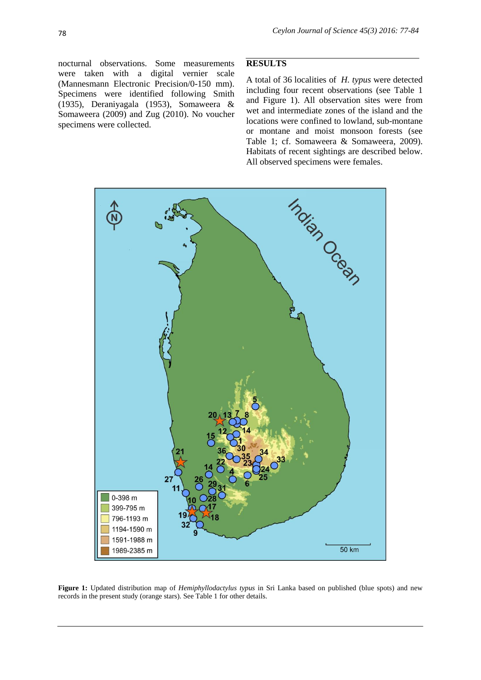nocturnal observations. Some measurements were taken with a digital vernier scale (Mannesmann Electronic Precision/0-150 mm). Specimens were identified following Smith (1935), Deraniyagala (1953), Somaweera & Somaweera (2009) and Zug (2010). No voucher specimens were collected.

### **RESULTS**

A total of 36 localities of *H. typus* were detected including four recent observations (see Table 1 and Figure 1). All observation sites were from wet and intermediate zones of the island and the locations were confined to lowland, sub-montane or montane and moist monsoon forests (see Table 1; cf. Somaweera & Somaweera, 2009). Habitats of recent sightings are described below. All observed specimens were females.



**Figure 1:** Updated distribution map of *Hemiphyllodactylus typus* in Sri Lanka based on published (blue spots) and new records in the present study (orange stars). See Table 1 for other details.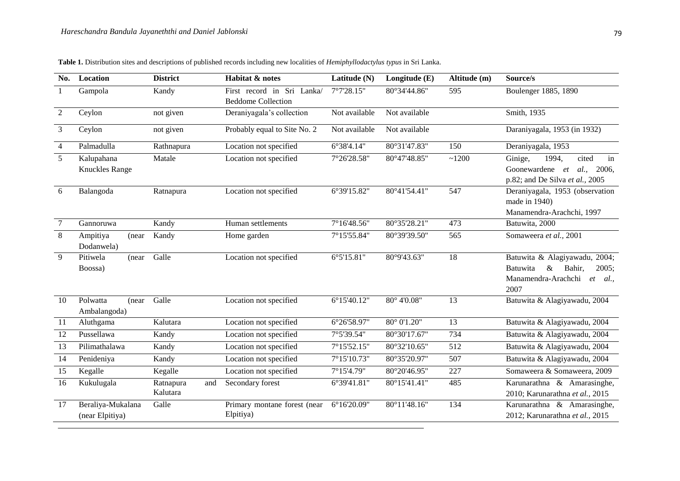| No.                   | Location                        | <b>District</b>                       | Habitat & notes              | Latitude (N)                | Longitude $(E)$        | Altitude (m)     | Source/s                                                              |  |  |
|-----------------------|---------------------------------|---------------------------------------|------------------------------|-----------------------------|------------------------|------------------|-----------------------------------------------------------------------|--|--|
| $\mathbf{1}$          | Gampola                         | Kandy                                 | First record in Sri Lanka/   | 7°7'28.15"                  | 80°34'44.86"           | 595              | Boulenger 1885, 1890                                                  |  |  |
|                       |                                 |                                       | <b>Beddome Collection</b>    |                             |                        |                  |                                                                       |  |  |
| 2                     | Ceylon                          | not given                             | Deraniyagala's collection    | Not available               | Not available          |                  | Smith, 1935                                                           |  |  |
| 3                     | Ceylon<br>not given             |                                       | Probably equal to Site No. 2 | Not available               | Not available          |                  | Daraniyagala, 1953 (in 1932)                                          |  |  |
| $\overline{4}$        | Palmadulla                      | Rathnapura                            | Location not specified       | 6°38'4.14"                  | 80°31'47.83"           | 150              | Deraniyagala, 1953                                                    |  |  |
| 5                     | Kalupahana                      | Matale                                | Location not specified       | 7°26'28.58"                 | $80^{\circ}47'48.85''$ | ~1200            | Ginige,<br>1994,<br>cited<br>in                                       |  |  |
| <b>Knuckles Range</b> |                                 |                                       |                              |                             |                        |                  | Goonewardene et<br>al.,<br>2006,<br>p.82; and De Silva et al., $2005$ |  |  |
| Balangoda<br>6        |                                 | Ratnapura                             | Location not specified       | 6°39'15.82"<br>80°41'54.41" |                        | 547              | Deraniyagala, 1953 (observation                                       |  |  |
|                       |                                 |                                       |                              |                             |                        |                  | made in 1940)                                                         |  |  |
|                       |                                 |                                       |                              |                             |                        |                  | Manamendra-Arachchi, 1997                                             |  |  |
| $\overline{7}$        | Gannoruwa                       | Kandy                                 | Human settlements            | 7°16'48.56"                 | 80°35'28.21"           | 473              | Batuwita, 2000                                                        |  |  |
| 8                     | Ampitiya<br>(near<br>Dodanwela) | Kandy                                 | Home garden                  | 7°15'55.84"                 | 80°39'39.50"           | 565              | Somaweera et al., 2001                                                |  |  |
| 9                     | Pitiwela<br>(near)              | Galle                                 | Location not specified       | 6°5'15.81"                  | 80°9'43.63"            | $\overline{18}$  | Batuwita & Alagiyawadu, 2004;                                         |  |  |
|                       | Boossa)                         |                                       |                              |                             |                        |                  | Batuwita<br>$\&$<br>Bahir,<br>2005:                                   |  |  |
|                       |                                 |                                       |                              |                             |                        |                  | Manamendra-Arachchi<br><i>al</i><br>et                                |  |  |
|                       |                                 |                                       |                              |                             |                        |                  | 2007                                                                  |  |  |
| 10                    | Polwatta<br>(near)              | Galle                                 | Location not specified       | $6^{\circ}15'40.12"$        | $80^{\circ}$ 4'0.08"   | 13               | Batuwita & Alagiyawadu, 2004                                          |  |  |
|                       | Ambalangoda)                    |                                       |                              |                             |                        |                  |                                                                       |  |  |
| 11                    | Aluthgama                       | Kalutara                              | Location not specified       | 6°26'58.97"                 | 80° 0'1.20"            | $\overline{13}$  | Batuwita & Alagiyawadu, 2004                                          |  |  |
| 12                    | Pussellawa                      | Kandy                                 | Location not specified       | 7°5'39.54"                  | 80°30'17.67"           | 734              | Batuwita & Alagiyawadu, 2004                                          |  |  |
| $\overline{13}$       | Pilimathalawa                   | Kandy                                 | Location not specified       | 7°15'52.15"                 | 80°32'10.65"           | $\overline{512}$ | Batuwita & Alagiyawadu, 2004                                          |  |  |
| 14                    | Penideniya                      | Kandy                                 | Location not specified       | 7°15'10.73"                 | 80°35'20.97"           | 507              | Batuwita & Alagiyawadu, 2004                                          |  |  |
| 15                    | Kegalle                         | Kegalle                               | Location not specified       | 7°15'4.79"                  | 80°20'46.95"           | 227              | Somaweera & Somaweera, 2009                                           |  |  |
| 16                    | Kukulugala                      | Ratnapura<br>and                      | Secondary forest             | 6°39'41.81"                 | 80°15'41.41"           | 485              | Karunarathna & Amarasinghe,                                           |  |  |
|                       |                                 | Kalutara                              |                              |                             |                        |                  | 2010; Karunarathna et al., 2015                                       |  |  |
| 17                    | Beraliya-Mukalana               | Galle<br>Primary montane forest (near |                              | 6°16'20.09"                 | 80°11'48.16"           | 134              | Karunarathna & Amarasinghe,                                           |  |  |
|                       | (near Elpitiya)                 |                                       | Elpitiya)                    |                             |                        |                  | 2012; Karunarathna et al., 2015                                       |  |  |

**Table 1.** Distribution sites and descriptions of published records including new localities of *Hemiphyllodactylus typus* in Sri Lanka.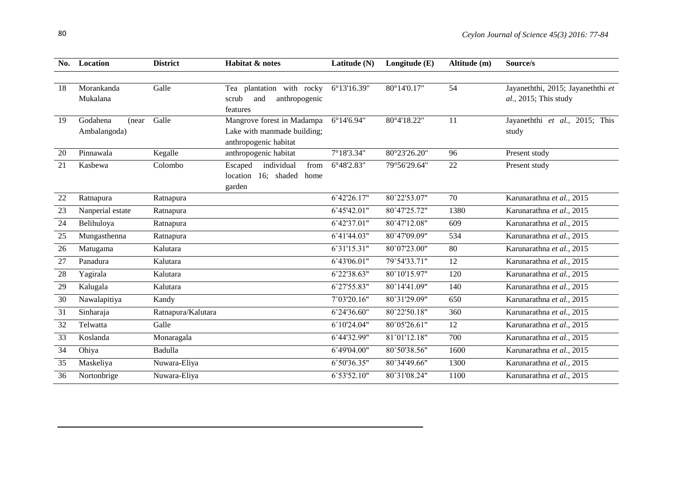| No. | Location                           | <b>District</b>    | Habitat & notes                                                                    | Latitude (N)        | Longitude (E)         | Altitude (m) | Source/s                                                   |  |
|-----|------------------------------------|--------------------|------------------------------------------------------------------------------------|---------------------|-----------------------|--------------|------------------------------------------------------------|--|
|     |                                    |                    |                                                                                    |                     |                       |              |                                                            |  |
| 18  | Morankanda<br>Mukalana             | Galle              | Tea plantation with rocky<br>anthropogenic<br>scrub<br>and<br>features             | 6°13'16.39"         | 80°14'0.17"           | 54           | Jayaneththi, 2015; Jayaneththi et<br>al., 2015; This study |  |
| 19  | Godahena<br>(near)<br>Ambalangoda) | Galle              | Mangrove forest in Madampa<br>Lake with manmade building;<br>anthropogenic habitat | $6^{\circ}14'6.94"$ | 80°4'18.22"           | 11           | Jayaneththi et al., 2015; This<br>study                    |  |
| 20  | Pinnawala                          | Kegalle            | anthropogenic habitat                                                              | 7°18'3.34"          | 80°23'26.20"          | 96           | Present study                                              |  |
| 21  | Kasbewa                            | Colombo            | individual<br>Escaped<br>from<br>location 16; shaded<br>home<br>garden             | 6°48'2.83"          | 79°56'29.64"          | 22           | Present study                                              |  |
| 22  | Ratnapura                          | Ratnapura          |                                                                                    | 6°42'26.17"         | 80°22'53.07"          | 70           | Karunarathna et al., 2015                                  |  |
| 23  | Nanperial estate                   | Ratnapura          |                                                                                    | 6°45'42.01"         | 80°47'25.72"          | 1380         | Karunarathna et al., 2015                                  |  |
| 24  | Belihuloya                         | Ratnapura          |                                                                                    | 6°42'37.01"         | 80°47'12.08"          | 609          | Karunarathna et al., 2015                                  |  |
| 25  | Mungasthenna                       | Ratnapura          |                                                                                    | 6°41'44.03"         | 80°47'09.09"          | 534          | Karunarathna et al., 2015                                  |  |
| 26  | Matugama                           | Kalutara           |                                                                                    | 6°31'15.31"         | 80°07'23.00"          | 80           | Karunarathna et al., 2015                                  |  |
| 27  | Panadura                           | Kalutara           |                                                                                    | 6°43'06.01"         | 79°54'33.71"          | 12           | Karunarathna et al., 2015                                  |  |
| 28  | Yagirala                           | Kalutara           |                                                                                    | 6°22'38.63"         | 80°10'15.97"          | 120          | Karunarathna et al., 2015                                  |  |
| 29  | Kalugala                           | Kalutara           |                                                                                    | 6°27'55.83"         | 80°14'41.09"          | 140          | Karunarathna et al., 2015                                  |  |
| 30  | Nawalapitiya                       | Kandy              |                                                                                    | 7°03'20.16"         | 80°31'29.09"          | 650          | Karunarathna et al., 2015                                  |  |
| 31  | Sinharaja                          | Ratnapura/Kalutara |                                                                                    | 6°24'36.60"         | 80°22'50.18"          | 360          | Karunarathna et al., 2015                                  |  |
| 32  | Telwatta                           | Galle              |                                                                                    | 6°10'24.04"         | $80^{\circ}05'26.61"$ | 12           | Karunarathna et al., 2015                                  |  |
| 33  | Koslanda                           | Monaragala         |                                                                                    | 6°44'32.99"         | 81°01'12.18"          | 700          | Karunarathna et al., 2015                                  |  |
| 34  | Ohiya                              | Badulla            |                                                                                    | 6°49'04.00"         | 80°50'38.56"          | 1600         | Karunarathna et al., 2015                                  |  |
| 35  | Maskeliya                          | Nuwara-Eliya       |                                                                                    | 6°50'36.35"         | 80°34'49.66"          | 1300         | Karunarathna et al., 2015                                  |  |
| 36  | Nortonbrige                        | Nuwara-Eliya       |                                                                                    | 6°53'52.10"         | 80°31'08.24"          | 1100         | Karunarathna et al., 2015                                  |  |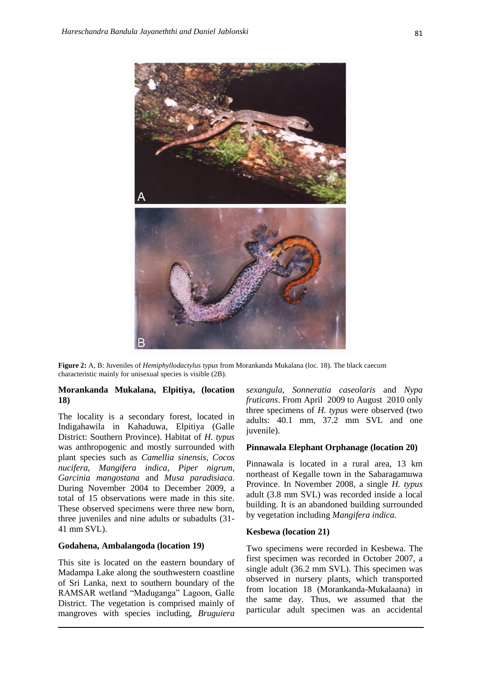

**Figure 2:** A, B: Juveniles of *Hemiphyllodactylus typus* from Morankanda Mukalana (loc. 18). The black caecum characteristic mainly for unisexual species is visible (2B).

#### **Morankanda Mukalana, Elpitiya, (location 18)**

The locality is a secondary forest, located in Indigahawila in Kahaduwa, Elpitiya (Galle District: Southern Province). Habitat of *H. typus*  was anthropogenic and mostly surrounded with plant species such as *Camellia sinensis*, *Cocos nucifera*, *Mangifera indica*, *Piper nigrum*, *Garcinia mangostana* and *Musa paradisiaca*. During November 2004 to December 2009, a total of 15 observations were made in this site. These observed specimens were three new born, three juveniles and nine adults or subadults (31- 41 mm SVL).

### **Godahena, Ambalangoda (location 19)**

This site is located on the eastern boundary of Madampa Lake along the southwestern coastline of Sri Lanka, next to southern boundary of the RAMSAR wetland "Maduganga" Lagoon, Galle District. The vegetation is comprised mainly of mangroves with species including, *Bruguiera* *sexangula, Sonneratia caseolaris* and *Nypa fruticans*. From April 2009 to August 2010 only three specimens of *H. typus* were observed (two adults: 40.1 mm, 37.2 mm SVL and one juvenile).

#### **Pinnawala Elephant Orphanage (location 20)**

Pinnawala is located in a rural area, 13 km northeast of Kegalle town in the Sabaragamuwa Province. In November 2008, a single *H. typus*  adult (3.8 mm SVL) was recorded inside a local building. It is an abandoned building surrounded by vegetation including *Mangifera indica.*

#### **Kesbewa (location 21)**

Two specimens were recorded in Kesbewa. The first specimen was recorded in October 2007, a single adult (36.2 mm SVL). This specimen was observed in nursery plants, which transported from location 18 (Morankanda-Mukalaana) in the same day. Thus, we assumed that the particular adult specimen was an accidental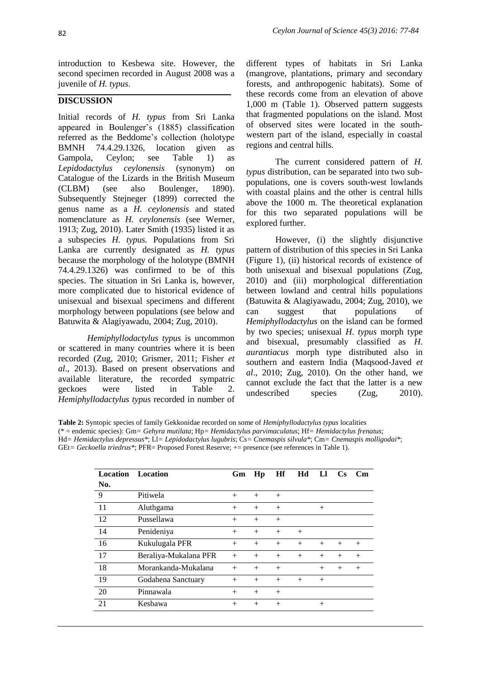introduction to Kesbewa site. However, the second specimen recorded in August 2008 was a juvenile of *H. typus*.

## **DISCUSSION**

Initial records of *H. typus* from Sri Lanka appeared in Boulenger"s (1885) classification referred as the Beddome"s collection (holotype BMNH 74.4.29.1326, location given as Gampola, Ceylon; see Table 1) as *Lepidodactylus ceylonensis* (synonym) on Catalogue of the Lizards in the British Museum (CLBM) (see also Boulenger, 1890). Subsequently Stejneger (1899) corrected the genus name as a *H. ceylonensis* and stated nomenclature as *H. ceylonensis* (see Werner, 1913; Zug, 2010). Later Smith (1935) listed it as a subspecies *H. typus.* Populations from Sri Lanka are currently designated as *H. typus* because the morphology of the holotype (BMNH 74.4.29.1326) was confirmed to be of this species. The situation in Sri Lanka is, however, more complicated due to historical evidence of unisexual and bisexual specimens and different morphology between populations (see below and Batuwita & Alagiyawadu, 2004; Zug, 2010).

*Hemiphyllodactylus typus* is uncommon or scattered in many countries where it is been recorded (Zug, 2010; Grismer, 2011; Fisher *et al*., 2013). Based on present observations and available literature, the recorded sympatric geckoes were listed in Table 2. *Hemiphyllodactylus typus* recorded in number of

different types of habitats in Sri Lanka (mangrove, plantations, primary and secondary forests, and anthropogenic habitats). Some of these records come from an elevation of above 1,000 m (Table 1). Observed pattern suggests that fragmented populations on the island. Most of observed sites were located in the southwestern part of the island, especially in coastal regions and central hills.

The current considered pattern of *H. typus* distribution, can be separated into two subpopulations, one is covers south-west lowlands with coastal plains and the other is central hills above the 1000 m. The theoretical explanation for this two separated populations will be explored further.

However, (i) the slightly disjunctive pattern of distribution of this species in Sri Lanka (Figure 1), (ii) historical records of existence of both unisexual and bisexual populations (Zug, 2010) and (iii) morphological differentiation between lowland and central hills populations (Batuwita & Alagiyawadu, 2004; Zug, 2010), we can suggest that populations of *Hemiphyllodactylus* on the island can be formed by two species; unisexual *H*. *typus* morph type and bisexual, presumably classified as *H*. *aurantiacus* morph type distributed also in southern and eastern India (Maqsood-Javed *et al*., 2010; Zug, 2010). On the other hand, we cannot exclude the fact that the latter is a new undescribed species (Zug, 2010).

**Table 2:** Syntopic species of family Gekkonidae recorded on some of *Hemiphyllodactylus typus* localities (\* = endemic species): Gm*= Gehyra mutilata*; Hp*= Hemidactylus parvimaculatus*; Hf*= Hemidactylus frenatus*; Hd*= Hemidactylus depressus\**; Ll*= Lepidodactylus lugubris*; Cs*= Cnemaspis silvula\**; Cm*= Cnemaspis molligodai\**; GEt*= Geckoella triedrus\**; PFR= Proposed Forest Reserve; += presence (see references in Table 1).

| <b>Location</b> | Location              | Gm     | Hp     | Hf     | Hd  | LI     | <b>Cs</b> | $\mathbf{C}\mathbf{m}$ |
|-----------------|-----------------------|--------|--------|--------|-----|--------|-----------|------------------------|
| No.             |                       |        |        |        |     |        |           |                        |
| 9               | Pitiwela              | $+$    | $+$    | $+$    |     |        |           |                        |
| 11              | Aluthgama             | $+$    | $+$    | $+$    |     | $+$    |           |                        |
| 12              | Pussellawa            | $+$    | $+$    | $+$    |     |        |           |                        |
| 14              | Penideniya            | $+$    | $+$    | $+$    | $+$ |        |           |                        |
| 16              | Kukulugala PFR        | $+$    | $^{+}$ | $^{+}$ | $+$ | $+$    | $+$       | $+$                    |
| 17              | Beraliya-Mukalana PFR | $+$    | $+$    | $+$    | $+$ | $+$    | $+$       | $+$                    |
| 18              | Morankanda-Mukalana   | $+$    | $+$    | $+$    |     | $+$    | $^{+}$    | $^{+}$                 |
| 19              | Godahena Sanctuary    | $^{+}$ | $+$    | $+$    | $+$ | $+$    |           |                        |
| 20              | Pinnawala             | $^{+}$ | $+$    | $^{+}$ |     |        |           |                        |
| 21              | Kesbawa               | $^{+}$ | $+$    | $+$    |     | $^{+}$ |           |                        |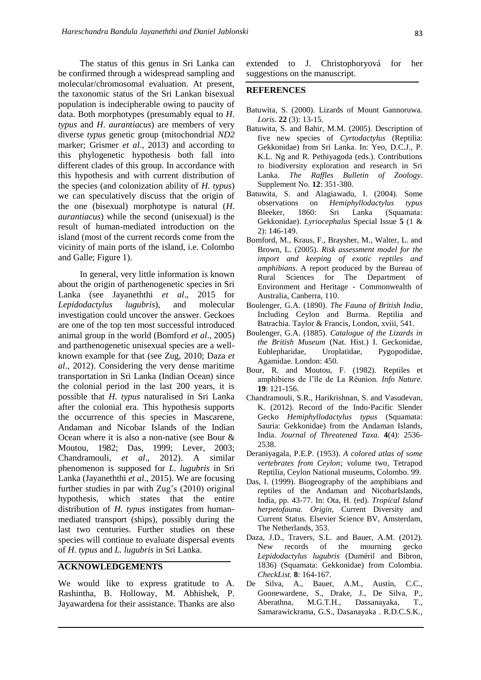The status of this genus in Sri Lanka can be confirmed through a widespread sampling and molecular/chromosomal evaluation. At present, the taxonomic status of the Sri Lankan bisexual population is indecipherable owing to paucity of data. Both morphotypes (presumably equal to *H*. *typus* and *H*. *aurantiacus*) are members of very diverse *typus* genetic group (mitochondrial *ND2* marker; Grismer *et al*., 2013) and according to this phylogenetic hypothesis both fall into different clades of this group. In accordance with this hypothesis and with current distribution of the species (and colonization ability of *H*. *typus*) we can speculatively discuss that the origin of the one (bisexual) morphotype is natural (*H*. *aurantiacus*) while the second (unisexual) is the result of human-mediated introduction on the island (most of the current records come from the vicinity of main ports of the island, i.e. Colombo and Galle; Figure 1).

In general, very little information is known about the origin of parthenogenetic species in Sri Lanka (see Jayaneththi *et al*., 2015 for *Lepidodactylus lugubris*), and molecular investigation could uncover the answer. Geckoes are one of the top ten most successful introduced animal group in the world (Bomford *et al*., 2005) and parthenogenetic unisexual species are a wellknown example for that (see Zug, 2010; Daza *et al*., 2012). Considering the very dense maritime transportation in Sri Lanka (Indian Ocean) since the colonial period in the last 200 years, it is possible that *H. typus* naturalised in Sri Lanka after the colonial era. This hypothesis supports the occurrence of this species in Mascarene, Andaman and Nicobar Islands of the Indian Ocean where it is also a non-native (see Bour & Moutou, 1982; Das, 1999; Lever, 2003; Chandramouli, *et al*., 2012). A similar phenomenon is supposed for *L*. *lugubris* in Sri Lanka (Jayaneththi *et al*., 2015). We are focusing further studies in par with Zug's (2010) original hypothesis, which states that the entire distribution of *H. typus* instigates from humanmediated transport (ships), possibly during the last two centuries. Further studies on these species will continue to evaluate dispersal events of *H. typus* and *L. lugubris* in Sri Lanka.

#### **ACKNOWLEDGEMENTS**

We would like to express gratitude to A. Rashintha, B. Holloway, M. Abhishek, P. Jayawardena for their assistance. Thanks are also

extended to J. Christophoryová for her suggestions on the manuscript.

#### **REFERENCES**

- Batuwita, S. (2000). Lizards of Mount Gannoruwa. *Loris.* **22** (3): 13-15.
- Batuwita, S. and Bahir, M.M. (2005). Description of five new species of *Cyrtodactylus* (Reptilia: Gekkonidae) from Sri Lanka. In: Yeo, D.C.J., P. K.L. Ng and R. Pethiyagoda (eds.). Contributions to biodiversity exploration and research in Sri Lanka. *The Raffles Bulletin of Zoology*. Supplement No. **12**: 351-380.
- Batuwita, S. and Alagiawadu, I. (2004). Some observations on *Hemiphyllodactylus typus* Bleeker, 1860: Sri Lanka (Squamata: Gekkonidae). *Lyriocephalus* Special Issue **5** (1 & 2): 146-149.
- Bomford, M., Kraus, F., Braysher, M., Walter, L. and Brown, L. (2005). *Risk assessment model for the import and keeping of exotic reptiles and amphibians*. A report produced by the Bureau of Rural Sciences for The Department of Environment and Heritage - Commonwealth of Australia, Canberra, 110.
- Boulenger, G.A. (1890). *The Fauna of British India*, Including Ceylon and Burma. Reptilia and Batrachia. Taylor & Francis, London, xviii, 541.
- Boulenger, G.A. (1885). *Catalogue of the Lizards in the British Museum* (Nat. Hist.) I. Geckonidae, Eublepharidae, Uroplatidae, Pygopodidae, Agamidae. London: 450.
- Bour, R. and Moutou, F. (1982). Reptiles et amphibiens de l"île de La Réunion. *Info Nature.* **19**: 121-156.
- Chandramouli, S.R., Harikrishnan, S. and Vasudevan, K. (2012). Record of the Indo-Pacific Slender Gecko *Hemiphyllodactylus typus* (Squamata: Sauria: Gekkonidae) from the Andaman Islands, India. *Journal of Threatened Taxa.* **4**(4): 2536- 2538.
- Deraniyagala, P.E.P. (1953). *A colored atlas of some vertebrates from Ceylon;* volume two, Tetrapod Reptilia, Ceylon National museums, Colombo. 99.
- Das, I. (1999). Biogeography of the amphibians and reptiles of the Andaman and NicobarIslands, India, pp. 43-77. In: Ota, H. (ed). *Tropical Island herpetofauna. Origin*, Current Diversity and Current Status. Elsevier Science BV, Amsterdam, The Netherlands, 353.
- Daza, J.D., Travers, S.L. and Bauer, A.M. (2012). New records of the mourning gecko *Lepidodactylus lugubris* (Duméril and Bibron, 1836) (Squamata: Gekkonidae) from Colombia. *CheckList.* **8**: 164-167.
- De Silva, A., Bauer, A.M., Austin, C.C., Goonewardene, S., Drake, J., De Silva, P., Aberathna, M.G.T.H., Dassanayaka, T., Samarawickrama, G.S., Dasanayaka . R.D.C.S.K.,